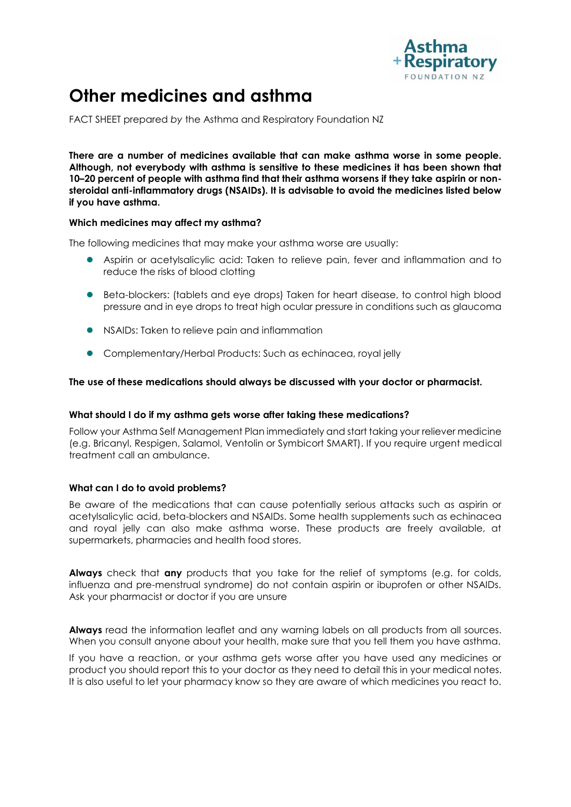

# **Other medicines and asthma**

FACT SHEET prepared *by* the Asthma and Respiratory Foundation NZ

**There are a number of medicines available that can make asthma worse in some people. Although, not everybody with asthma is sensitive to these medicines it has been shown that 10–20 percent of people with asthma find that their asthma worsens if they take aspirin or nonsteroidal anti-inflammatory drugs (NSAIDs). It is advisable to avoid the medicines listed below if you have asthma.** 

#### **Which medicines may affect my asthma?**

The following medicines that may make your asthma worse are usually:

- Aspirin or acetylsalicylic acid: Taken to relieve pain, fever and inflammation and to reduce the risks of blood clotting
- Beta-blockers: (tablets and eye drops) Taken for heart disease, to control high blood pressure and in eye drops to treat high ocular pressure in conditions such as glaucoma
- NSAIDs: Taken to relieve pain and inflammation
- Complementary/Herbal Products: Such as echinacea, royal jelly

# **The use of these medications should always be discussed with your doctor or pharmacist.**

# **What should I do if my asthma gets worse after taking these medications?**

Follow your Asthma Self Management Plan immediately and start taking your reliever medicine (e.g. Bricanyl, Respigen, Salamol, Ventolin or Symbicort SMART). If you require urgent medical treatment call an ambulance.

# **What can I do to avoid problems?**

Be aware of the medications that can cause potentially serious attacks such as aspirin or acetylsalicylic acid, beta-blockers and NSAIDs. Some health supplements such as echinacea and royal jelly can also make asthma worse. These products are freely available, at supermarkets, pharmacies and health food stores.

**Always** check that **any** products that you take for the relief of symptoms (e.g. for colds, influenza and pre-menstrual syndrome) do not contain aspirin or ibuprofen or other NSAIDs. Ask your pharmacist or doctor if you are unsure

**Always** read the information leaflet and any warning labels on all products from all sources. When you consult anyone about your health, make sure that you tell them you have asthma.

If you have a reaction, or your asthma gets worse after you have used any medicines or product you should report this to your doctor as they need to detail this in your medical notes. It is also useful to let your pharmacy know so they are aware of which medicines you react to.